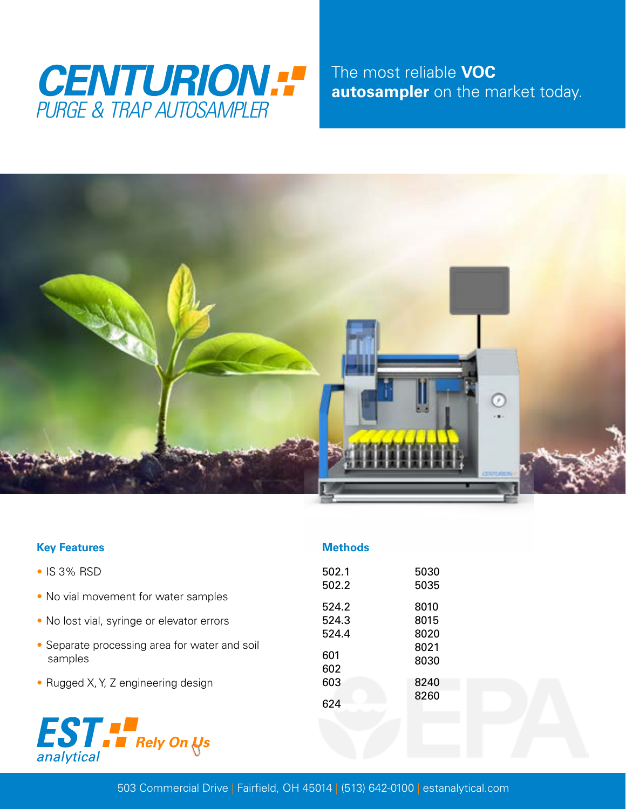

The most reliable **VOC autosampler** on the market today.



| <b>Key Features</b>                                      | <b>Methods</b>    |                      |
|----------------------------------------------------------|-------------------|----------------------|
| • IS 3% RSD                                              | 502.1             | 5030                 |
| • No vial movement for water samples                     | 502.2<br>524.2    | 5035<br>8010         |
| • No lost vial, syringe or elevator errors               | 524.3             | 8015                 |
| • Separate processing area for water and soil<br>samples | 524.4<br>601      | 8020<br>8021<br>8030 |
| • Rugged X, Y, Z engineering design                      | 602<br>603<br>624 | 8240<br>8260         |
| <b>EST FRely On Us</b><br>analytical                     |                   |                      |